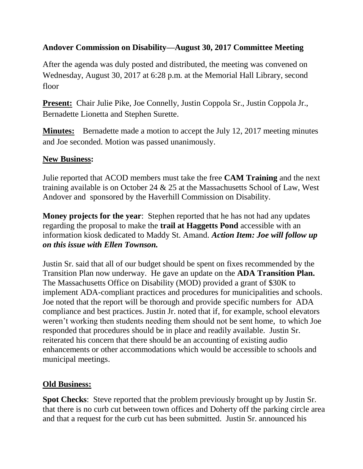## **Andover Commission on Disability—August 30, 2017 Committee Meeting**

After the agenda was duly posted and distributed, the meeting was convened on Wednesday, August 30, 2017 at 6:28 p.m. at the Memorial Hall Library, second floor

**Present:** Chair Julie Pike, Joe Connelly, Justin Coppola Sr., Justin Coppola Jr., Bernadette Lionetta and Stephen Surette.

**Minutes:** Bernadette made a motion to accept the July 12, 2017 meeting minutes and Joe seconded. Motion was passed unanimously.

## **New Business:**

Julie reported that ACOD members must take the free **CAM Training** and the next training available is on October 24 & 25 at the Massachusetts School of Law, West Andover and sponsored by the Haverhill Commission on Disability.

**Money projects for the year**: Stephen reported that he has not had any updates regarding the proposal to make the **trail at Haggetts Pond** accessible with an information kiosk dedicated to Maddy St. Amand. *Action Item: Joe will follow up on this issue with Ellen Townson.* 

Justin Sr. said that all of our budget should be spent on fixes recommended by the Transition Plan now underway. He gave an update on the **ADA Transition Plan.**  The Massachusetts Office on Disability (MOD) provided a grant of \$30K to implement ADA-compliant practices and procedures for municipalities and schools. Joe noted that the report will be thorough and provide specific numbers for ADA compliance and best practices. Justin Jr. noted that if, for example, school elevators weren't working then students needing them should not be sent home, to which Joe responded that procedures should be in place and readily available. Justin Sr. reiterated his concern that there should be an accounting of existing audio enhancements or other accommodations which would be accessible to schools and municipal meetings.

## **Old Business:**

**Spot Checks**: Steve reported that the problem previously brought up by Justin Sr. that there is no curb cut between town offices and Doherty off the parking circle area and that a request for the curb cut has been submitted. Justin Sr. announced his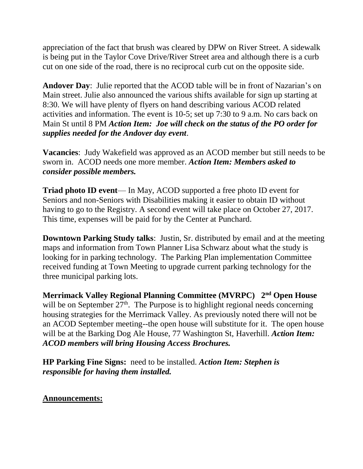appreciation of the fact that brush was cleared by DPW on River Street. A sidewalk is being put in the Taylor Cove Drive/River Street area and although there is a curb cut on one side of the road, there is no reciprocal curb cut on the opposite side.

**Andover Day**: Julie reported that the ACOD table will be in front of Nazarian's on Main street. Julie also announced the various shifts available for sign up starting at 8:30. We will have plenty of flyers on hand describing various ACOD related activities and information. The event is 10-5; set up 7:30 to 9 a.m. No cars back on Main St until 8 PM *Action Item: Joe will check on the status of the PO order for supplies needed for the Andover day event*.

**Vacancies**: Judy Wakefield was approved as an ACOD member but still needs to be sworn in. ACOD needs one more member. *Action Item: Members asked to consider possible members.*

**Triad photo ID event**— In May, ACOD supported a free photo ID event for Seniors and non-Seniors with Disabilities making it easier to obtain ID without having to go to the Registry. A second event will take place on October 27, 2017. This time, expenses will be paid for by the Center at Punchard.

**Downtown Parking Study talks**: Justin, Sr. distributed by email and at the meeting maps and information from Town Planner Lisa Schwarz about what the study is looking for in parking technology. The Parking Plan implementation Committee received funding at Town Meeting to upgrade current parking technology for the three municipal parking lots.

**Merrimack Valley Regional Planning Committee (MVRPC) 2 nd Open House** will be on September  $27<sup>th</sup>$ . The Purpose is to highlight regional needs concerning housing strategies for the Merrimack Valley. As previously noted there will not be an ACOD September meeting--the open house will substitute for it. The open house will be at the Barking Dog Ale House, 77 Washington St, Haverhill. *Action Item: ACOD members will bring Housing Access Brochures.*

**HP Parking Fine Signs:** need to be installed. *Action Item: Stephen is responsible for having them installed.*

## **Announcements:**